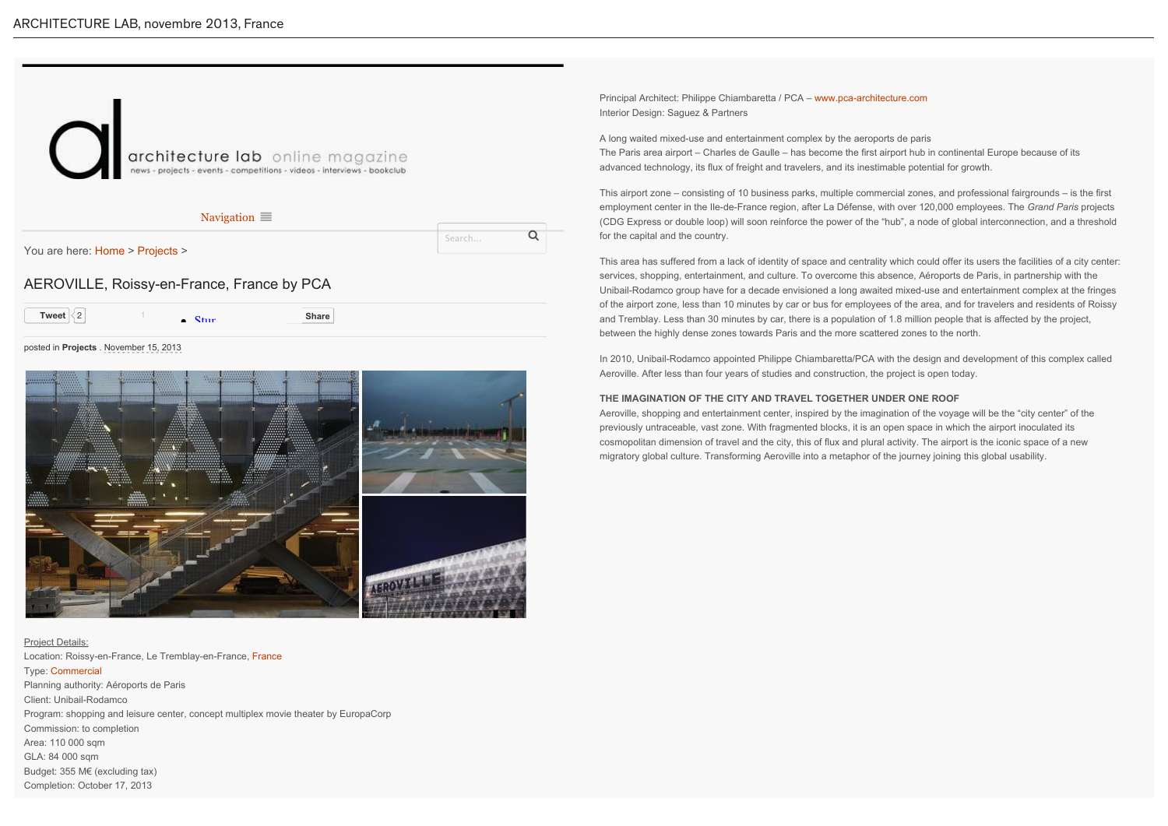

# Project Details:

Location: Roissy-en-France, Le Tremblay-en-France, France Type: Commercial Planning authority: Aéroports de Paris Client: Unibail-Rodamco Program: shopping and leisure center, concept multiplex movie theater by EuropaCorp Commission: to completion Area: 110 000 sqm GLA: 84 000 sqm Budget: 355 M€ (excluding tax) Completion: October 17, 2013

Principal Architect: Philippe Chiambaretta / PCA – www.pca-architecture.com Interior Design: Saguez & Partners

A long waited mixed-use and entertainment complex by the aeroports de paris The Paris area airport – Charles de Gaulle – has become the first airport hub in continental Europe because of its advanced technology, its flux of freight and travelers, and its inestimable potential for growth.

This airport zone – consisting of 10 business parks, multiple commercial zones, and professional fairgrounds – is the first employment center in the Ile-de-France region, after La Défense, with over 120,000 employees. The *Grand Paris* projects (CDG Express or double loop) will soon reinforce the power of the "hub", a node of global interconnection, and a threshold for the capital and the country.

This area has suffered from a lack of identity of space and centrality which could offer its users the facilities of a city center: services, shopping, entertainment, and culture. To overcome this absence, Aéroports de Paris, in partnership with the Unibail-Rodamco group have for a decade envisioned a long awaited mixed-use and entertainment complex at the fringes of the airport zone, less than 10 minutes by car or bus for employees of the area, and for travelers and residents of Roissy and Tremblay. Less than 30 minutes by car, there is a population of 1.8 million people that is affected by the project, between the highly dense zones towards Paris and the more scattered zones to the north.

In 2010, Unibail-Rodamco appointed Philippe Chiambaretta/PCA with the design and development of this complex called Aeroville. After less than four years of studies and construction, the project is open today.

#### **THE IMAGINATION OF THE CITY AND TRAVEL TOGETHER UNDER ONE ROOF**

Aeroville, shopping and entertainment center, inspired by the imagination of the voyage will be the "city center" of the previously untraceable, vast zone. With fragmented blocks, it is an open space in which the airport inoculated its cosmopolitan dimension of travel and the city, this of flux and plural activity. The airport is the iconic space of a new migratory global culture. Transforming Aeroville into a metaphor of the journey joining this global usability.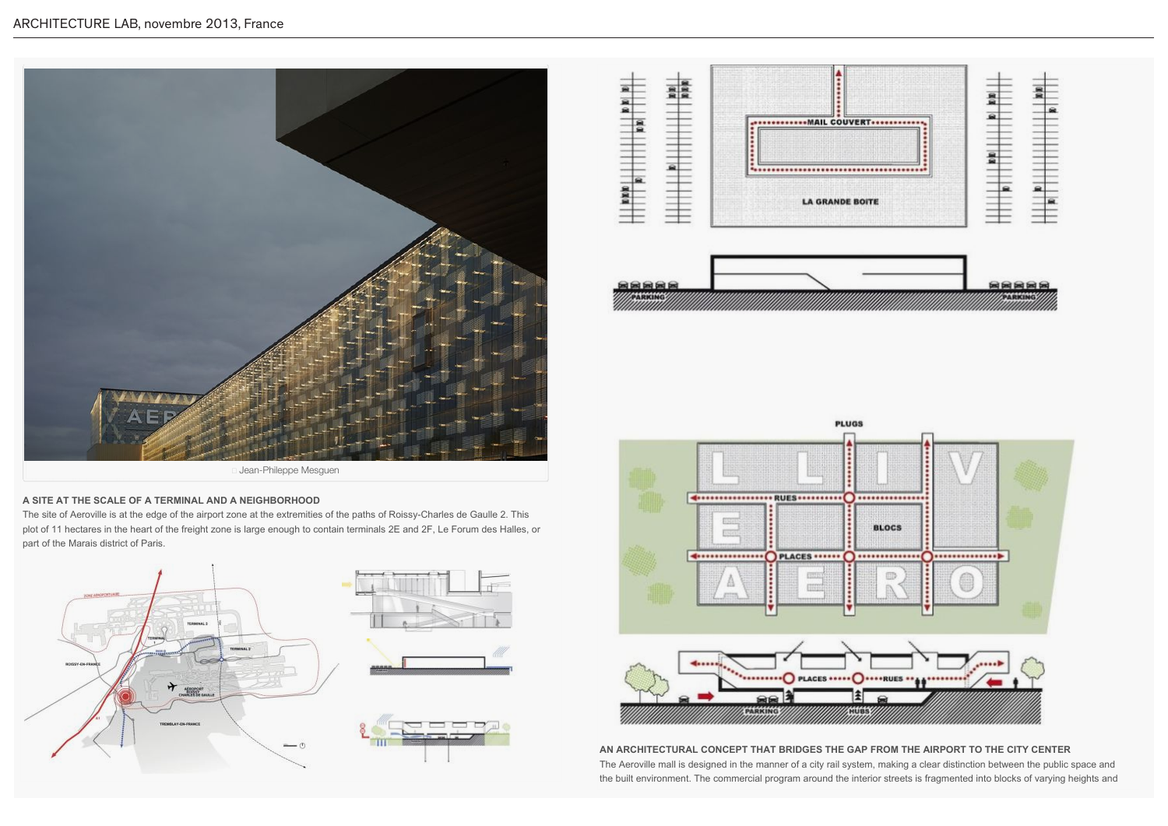



## **A SITE AT THE SCALE OF A TERMINAL AND A NEIGHBORHOOD**

The site of Aeroville is at the edge of the airport zone at the extremities of the paths of Roissy-Charles de Gaulle 2. This plot of 11 hectares in the heart of the freight zone is large enough to contain terminals 2E and 2F, Le Forum des Halles, or part of the Marais district of Paris.







**AN ARCHITECTURAL CONCEPT THAT BRIDGES THE GAP FROM THE AIRPORT TO THE CITY CENTER** The Aeroville mall is designed in the manner of a city rail system, making a clear distinction between the public space and the built environment. The commercial program around the interior streets is fragmented into blocks of varying heights and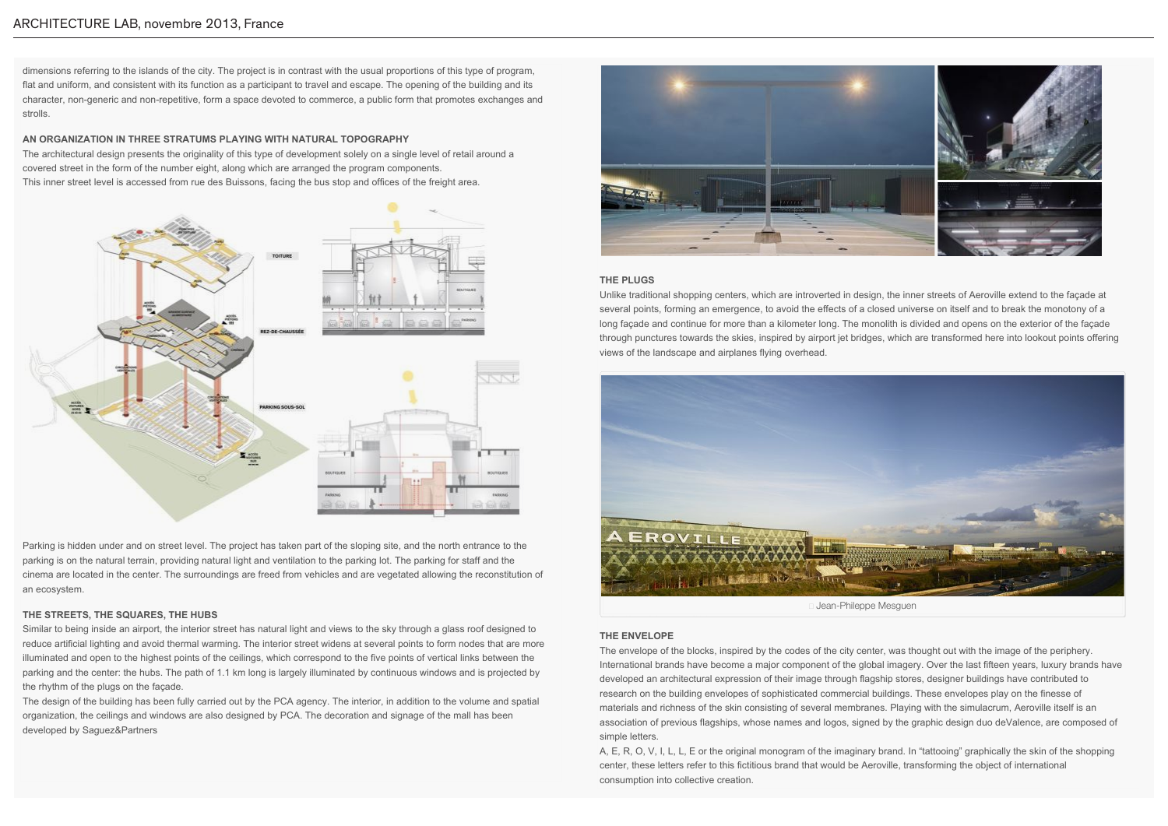dimensions referring to the islands of the city. The project is in contrast with the usual proportions of this type of program, flat and uniform, and consistent with its function as a participant to travel and escape. The opening of the building and its character, non-generic and non-repetitive, form a space devoted to commerce, a public form that promotes exchanges and strolls.

## **AN ORGANIZATION IN THREE STRATUMS PLAYING WITH NATURAL TOPOGRAPHY**

The architectural design presents the originality of this type of development solely on a single level of retail around a covered street in the form of the number eight, along which are arranged the program components. This inner street level is accessed from rue des Buissons, facing the bus stop and offices of the freight area.



Parking is hidden under and on street level. The project has taken part of the sloping site, and the north entrance to the parking is on the natural terrain, providing natural light and ventilation to the parking lot. The parking for staff and the cinema are located in the center. The surroundings are freed from vehicles and are vegetated allowing the reconstitution of an ecosystem.

### **THE STREETS, THE SQUARES, THE HUBS**

Similar to being inside an airport, the interior street has natural light and views to the sky through a glass roof designed to reduce artificial lighting and avoid thermal warming. The interior street widens at several points to form nodes that are more illuminated and open to the highest points of the ceilings, which correspond to the five points of vertical links between the parking and the center: the hubs. The path of 1.1 km long is largely illuminated by continuous windows and is projected by the rhythm of the plugs on the façade.

The design of the building has been fully carried out by the PCA agency. The interior, in addition to the volume and spatial organization, the ceilings and windows are also designed by PCA. The decoration and signage of the mall has been developed by Saguez&Partners



AEROVILLE, Roissy-en-France, France by PCA 15/11/13 17:12

## **THE PLUGS**

Unlike traditional shopping centers, which are introverted in design, the inner streets of Aeroville extend to the façade at several points, forming an emergence, to avoid the effects of a closed universe on itself and to break the monotony of a long façade and continue for more than a kilometer long. The monolith is divided and opens on the exterior of the façade through punctures towards the skies, inspired by airport jet bridges, which are transformed here into lookout points offering views of the landscape and airplanes flying overhead.



### **THE ENVELOPE**

The envelope of the blocks, inspired by the codes of the city center, was thought out with the image of the periphery. International brands have become a major component of the global imagery. Over the last fifteen years, luxury brands have developed an architectural expression of their image through flagship stores, designer buildings have contributed to research on the building envelopes of sophisticated commercial buildings. These envelopes play on the finesse of materials and richness of the skin consisting of several membranes. Playing with the simulacrum, Aeroville itself is an association of previous flagships, whose names and logos, signed by the graphic design duo deValence, are composed of simple letters.

A, E, R, O, V, I, L, L, E or the original monogram of the imaginary brand. In "tattooing" graphically the skin of the shopping center, these letters refer to this fictitious brand that would be Aeroville, transforming the object of international consumption into collective creation.